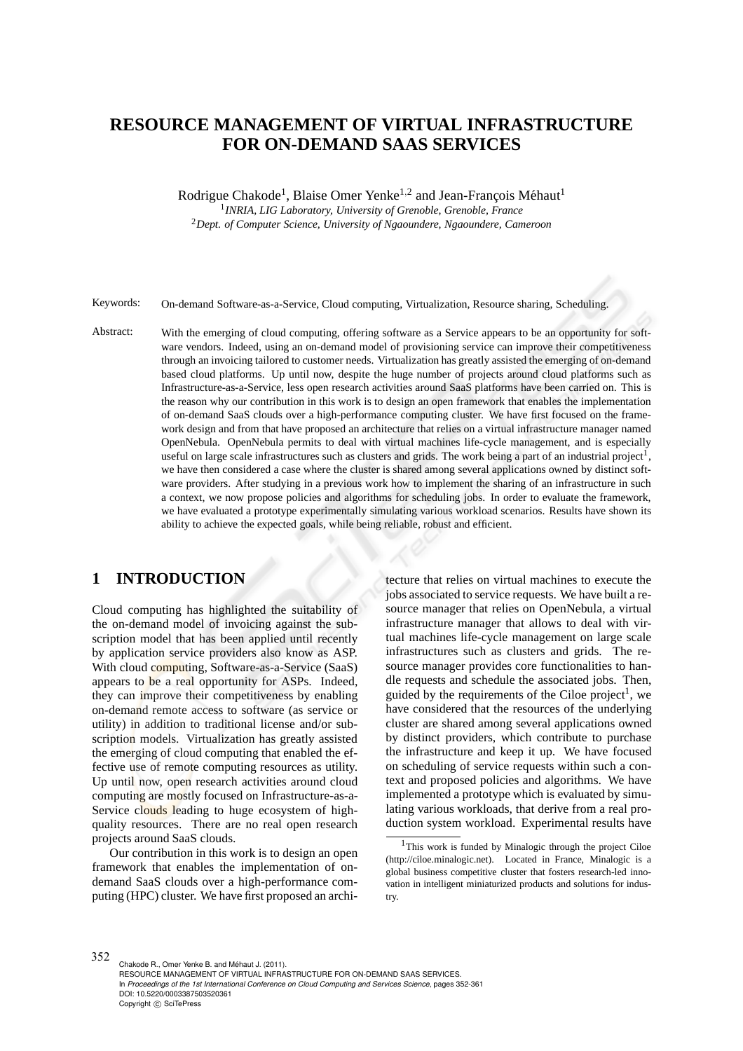# **RESOURCE MANAGEMENT OF VIRTUAL INFRASTRUCTURE FOR ON-DEMAND SAAS SERVICES**

Rodrigue Chakode<sup>1</sup>, Blaise Omer Yenke<sup>1,2</sup> and Jean-François Méhaut<sup>1</sup>

1 *INRIA, LIG Laboratory, University of Grenoble, Grenoble, France* <sup>2</sup>*Dept. of Computer Science, University of Ngaoundere, Ngaoundere, Cameroon*

Keywords: On-demand Software-as-a-Service, Cloud computing, Virtualization, Resource sharing, Scheduling.

Abstract: With the emerging of cloud computing, offering software as a Service appears to be an opportunity for software vendors. Indeed, using an on-demand model of provisioning service can improve their competitiveness through an invoicing tailored to customer needs. Virtualization has greatly assisted the emerging of on-demand based cloud platforms. Up until now, despite the huge number of projects around cloud platforms such as Infrastructure-as-a-Service, less open research activities around SaaS platforms have been carried on. This is the reason why our contribution in this work is to design an open framework that enables the implementation of on-demand SaaS clouds over a high-performance computing cluster. We have first focused on the framework design and from that have proposed an architecture that relies on a virtual infrastructure manager named OpenNebula. OpenNebula permits to deal with virtual machines life-cycle management, and is especially useful on large scale infrastructures such as clusters and grids. The work being a part of an industrial project<sup>1</sup>, we have then considered a case where the cluster is shared among several applications owned by distinct software providers. After studying in a previous work how to implement the sharing of an infrastructure in such a context, we now propose policies and algorithms for scheduling jobs. In order to evaluate the framework, we have evaluated a prototype experimentally simulating various workload scenarios. Results have shown its ability to achieve the expected goals, while being reliable, robust and efficient.

# **1 INTRODUCTION**

Cloud computing has highlighted the suitability of the on-demand model of invoicing against the subscription model that has been applied until recently by application service providers also know as ASP. With cloud computing, Software-as-a-Service (SaaS) appears to be a real opportunity for ASPs. Indeed, they can improve their competitiveness by enabling on-demand remote access to software (as service or utility) in addition to traditional license and/or subscription models. Virtualization has greatly assisted the emerging of cloud computing that enabled the effective use of remote computing resources as utility. Up until now, open research activities around cloud computing are mostly focused on Infrastructure-as-a-Service clouds leading to huge ecosystem of highquality resources. There are no real open research projects around SaaS clouds.

Our contribution in this work is to design an open framework that enables the implementation of ondemand SaaS clouds over a high-performance computing (HPC) cluster. We have first proposed an archi-

tecture that relies on virtual machines to execute the jobs associated to service requests. We have built a resource manager that relies on OpenNebula, a virtual infrastructure manager that allows to deal with virtual machines life-cycle management on large scale infrastructures such as clusters and grids. The resource manager provides core functionalities to handle requests and schedule the associated jobs. Then, guided by the requirements of the Ciloe project<sup>1</sup>, we have considered that the resources of the underlying cluster are shared among several applications owned by distinct providers, which contribute to purchase the infrastructure and keep it up. We have focused on scheduling of service requests within such a context and proposed policies and algorithms. We have implemented a prototype which is evaluated by simulating various workloads, that derive from a real production system workload. Experimental results have

352 Chakode R., Omer Yenke B. and Méhaut J. (2011). RESOURCE MANAGEMENT OF VIRTUAL INFRASTRUCTURE FOR ON-DEMAND SAAS SERVICES. In *Proceedings of the 1st International Conference on Cloud Computing and Services Science*, pages 352-361 DOI: 10.5220/0003387503520361 Copyright © SciTePress

<sup>1</sup>This work is funded by Minalogic through the project Ciloe (http://ciloe.minalogic.net). Located in France, Minalogic is a global business competitive cluster that fosters research-led innovation in intelligent miniaturized products and solutions for industry.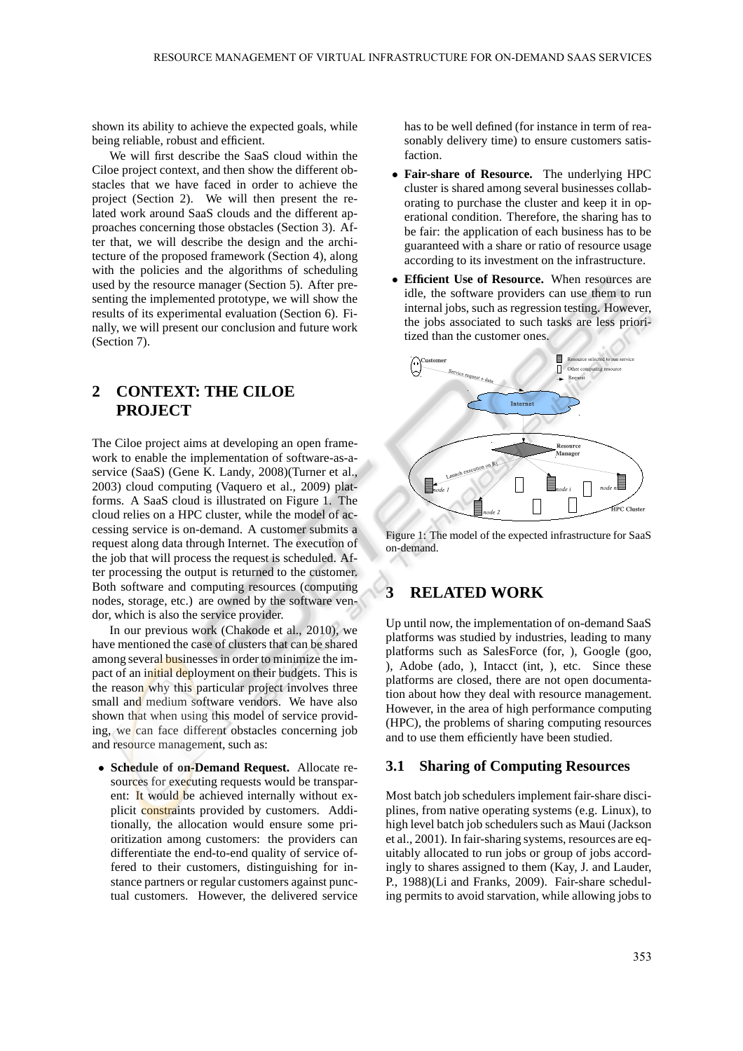shown its ability to achieve the expected goals, while being reliable, robust and efficient.

We will first describe the SaaS cloud within the Ciloe project context, and then show the different obstacles that we have faced in order to achieve the project (Section 2). We will then present the related work around SaaS clouds and the different approaches concerning those obstacles (Section 3). After that, we will describe the design and the architecture of the proposed framework (Section 4), along with the policies and the algorithms of scheduling used by the resource manager (Section 5). After presenting the implemented prototype, we will show the results of its experimental evaluation (Section 6). Finally, we will present our conclusion and future work (Section 7).

# **2 CONTEXT: THE CILOE PROJECT**

The Ciloe project aims at developing an open framework to enable the implementation of software-as-aservice (SaaS) (Gene K. Landy, 2008)(Turner et al., 2003) cloud computing (Vaquero et al., 2009) platforms. A SaaS cloud is illustrated on Figure 1. The cloud relies on a HPC cluster, while the model of accessing service is on-demand. A customer submits a request along data through Internet. The execution of the job that will process the request is scheduled. After processing the output is returned to the customer. Both software and computing resources (computing nodes, storage, etc.) are owned by the software vendor, which is also the service provider.

In our previous work (Chakode et al., 2010), we have mentioned the case of clusters that can be shared among several businesses in order to minimize the impact of an initial deployment on their budgets. This is the reason why this particular project involves three small and medium software vendors. We have also shown that when using this model of service providing, we can face different obstacles concerning job and resource management, such as:

• **Schedule of on-Demand Request.** Allocate resources for executing requests would be transparent: It would be achieved internally without explicit constraints provided by customers. Additionally, the allocation would ensure some prioritization among customers: the providers can differentiate the end-to-end quality of service offered to their customers, distinguishing for instance partners or regular customers against punctual customers. However, the delivered service has to be well defined (for instance in term of reasonably delivery time) to ensure customers satisfaction.

- **Fair-share of Resource.** The underlying HPC cluster is shared among several businesses collaborating to purchase the cluster and keep it in operational condition. Therefore, the sharing has to be fair: the application of each business has to be guaranteed with a share or ratio of resource usage according to its investment on the infrastructure.
- **Efficient Use of Resource.** When resources are idle, the software providers can use them to run internal jobs, such as regression testing. However, the jobs associated to such tasks are less prioritized than the customer ones.



Figure 1: The model of the expected infrastructure for SaaS on-demand.

## **3 RELATED WORK**

Up until now, the implementation of on-demand SaaS platforms was studied by industries, leading to many platforms such as SalesForce (for, ), Google (goo, ), Adobe (ado, ), Intacct (int, ), etc. Since these platforms are closed, there are not open documentation about how they deal with resource management. However, in the area of high performance computing (HPC), the problems of sharing computing resources and to use them efficiently have been studied.

### **3.1 Sharing of Computing Resources**

Most batch job schedulers implement fair-share disciplines, from native operating systems (e.g. Linux), to high level batch job schedulers such as Maui (Jackson et al., 2001). In fair-sharing systems, resources are equitably allocated to run jobs or group of jobs accordingly to shares assigned to them (Kay, J. and Lauder, P., 1988)(Li and Franks, 2009). Fair-share scheduling permits to avoid starvation, while allowing jobs to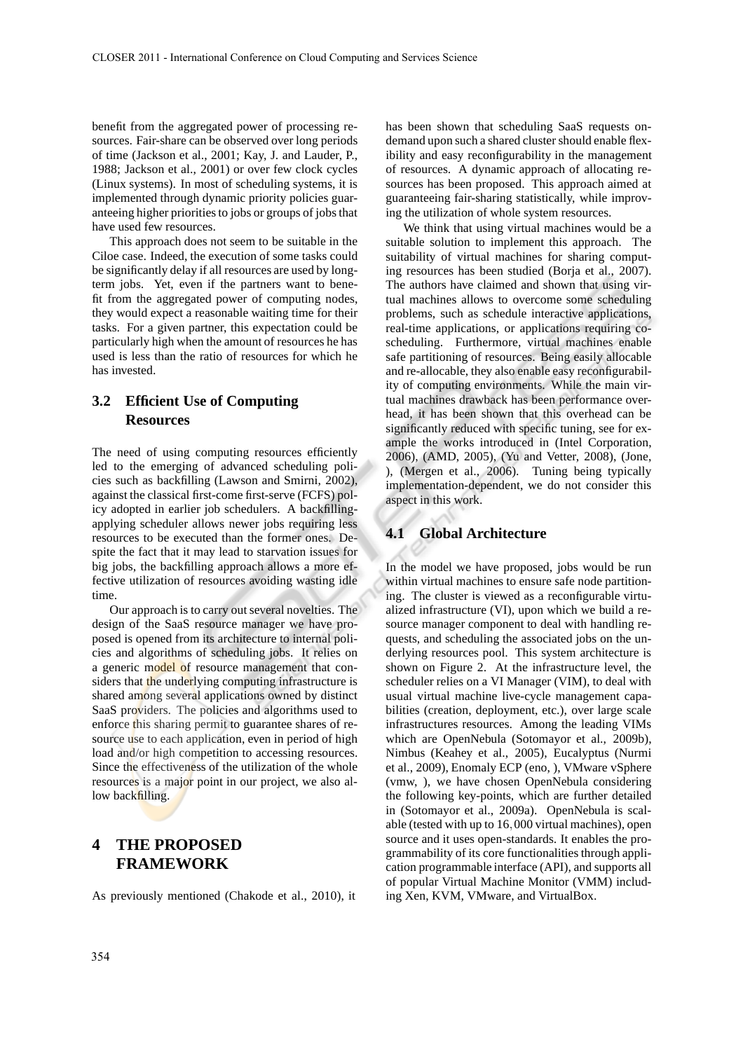benefit from the aggregated power of processing resources. Fair-share can be observed over long periods of time (Jackson et al., 2001; Kay, J. and Lauder, P., 1988; Jackson et al., 2001) or over few clock cycles (Linux systems). In most of scheduling systems, it is implemented through dynamic priority policies guaranteeing higher priorities to jobs or groups of jobs that have used few resources.

This approach does not seem to be suitable in the Ciloe case. Indeed, the execution of some tasks could be significantly delay if all resources are used by longterm jobs. Yet, even if the partners want to benefit from the aggregated power of computing nodes, they would expect a reasonable waiting time for their tasks. For a given partner, this expectation could be particularly high when the amount of resources he has used is less than the ratio of resources for which he has invested.

# **3.2 Efficient Use of Computing Resources**

The need of using computing resources efficiently led to the emerging of advanced scheduling policies such as backfilling (Lawson and Smirni, 2002), against the classical first-come first-serve (FCFS) policy adopted in earlier job schedulers. A backfillingapplying scheduler allows newer jobs requiring less resources to be executed than the former ones. Despite the fact that it may lead to starvation issues for big jobs, the backfilling approach allows a more effective utilization of resources avoiding wasting idle time.

Our approach is to carry out several novelties. The design of the SaaS resource manager we have proposed is opened from its architecture to internal policies and algorithms of scheduling jobs. It relies on a generic model of resource management that considers that the underlying computing infrastructure is shared among several applications owned by distinct SaaS providers. The policies and algorithms used to enforce this sharing permit to guarantee shares of resource use to each application, even in period of high load and/or high competition to accessing resources. Since the effectiveness of the utilization of the whole resources is a major point in our project, we also allow backfilling.

# **4 THE PROPOSED FRAMEWORK**

As previously mentioned (Chakode et al., 2010), it

has been shown that scheduling SaaS requests ondemand upon such a shared cluster should enable flexibility and easy reconfigurability in the management of resources. A dynamic approach of allocating resources has been proposed. This approach aimed at guaranteeing fair-sharing statistically, while improving the utilization of whole system resources.

We think that using virtual machines would be a suitable solution to implement this approach. The suitability of virtual machines for sharing computing resources has been studied (Borja et al., 2007). The authors have claimed and shown that using virtual machines allows to overcome some scheduling problems, such as schedule interactive applications, real-time applications, or applications requiring coscheduling. Furthermore, virtual machines enable safe partitioning of resources. Being easily allocable and re-allocable, they also enable easy reconfigurability of computing environments. While the main virtual machines drawback has been performance overhead, it has been shown that this overhead can be significantly reduced with specific tuning, see for example the works introduced in (Intel Corporation, 2006), (AMD, 2005), (Yu and Vetter, 2008), (Jone, ), (Mergen et al., 2006). Tuning being typically implementation-dependent, we do not consider this aspect in this work.

## **4.1 Global Architecture**

In the model we have proposed, jobs would be run within virtual machines to ensure safe node partitioning. The cluster is viewed as a reconfigurable virtualized infrastructure (VI), upon which we build a resource manager component to deal with handling requests, and scheduling the associated jobs on the underlying resources pool. This system architecture is shown on Figure 2. At the infrastructure level, the scheduler relies on a VI Manager (VIM), to deal with usual virtual machine live-cycle management capabilities (creation, deployment, etc.), over large scale infrastructures resources. Among the leading VIMs which are OpenNebula (Sotomayor et al., 2009b), Nimbus (Keahey et al., 2005), Eucalyptus (Nurmi et al., 2009), Enomaly ECP (eno, ), VMware vSphere (vmw, ), we have chosen OpenNebula considering the following key-points, which are further detailed in (Sotomayor et al., 2009a). OpenNebula is scalable (tested with up to 16,000 virtual machines), open source and it uses open-standards. It enables the programmability of its core functionalities through application programmable interface (API), and supports all of popular Virtual Machine Monitor (VMM) including Xen, KVM, VMware, and VirtualBox.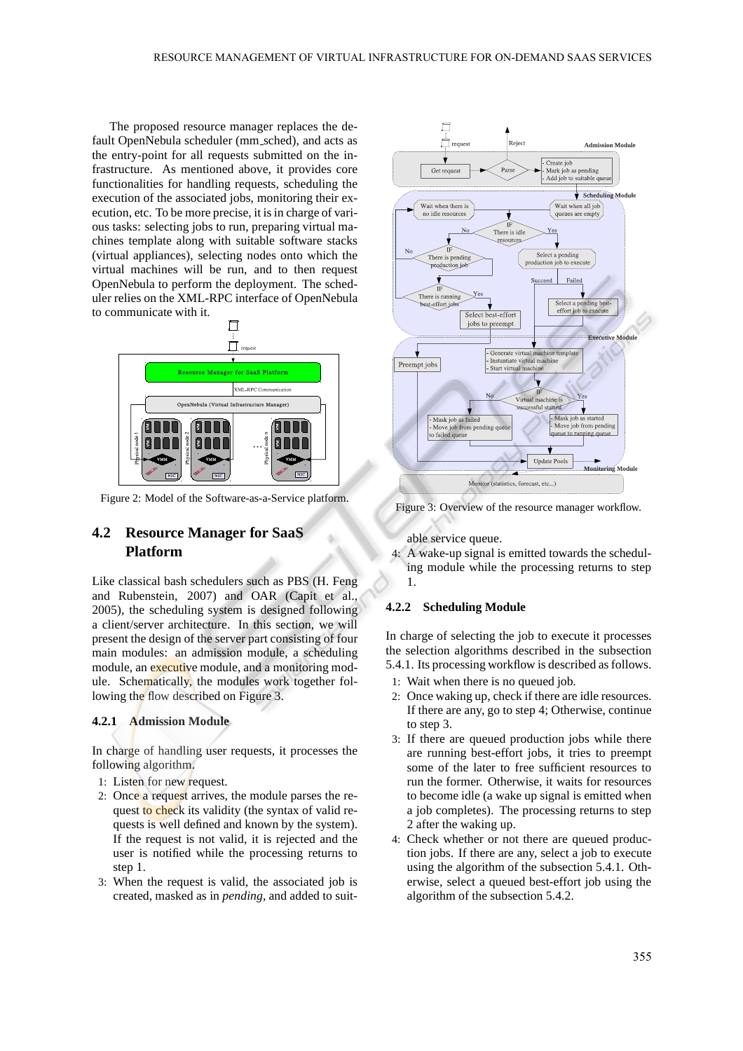The proposed resource manager replaces the default OpenNebula scheduler (mm sched), and acts as the entry-point for all requests submitted on the infrastructure. As mentioned above, it provides core functionalities for handling requests, scheduling the execution of the associated jobs, monitoring their execution, etc. To be more precise, it is in charge of various tasks: selecting jobs to run, preparing virtual machines template along with suitable software stacks (virtual appliances), selecting nodes onto which the virtual machines will be run, and to then request OpenNebula to perform the deployment. The scheduler relies on the XML-RPC interface of OpenNebula to communicate with it.



Figure 2: Model of the Software-as-a-Service platform.

## **4.2 Resource Manager for SaaS Platform**

Like classical bash schedulers such as PBS (H. Feng and Rubenstein, 2007) and OAR (Capit et al., 2005), the scheduling system is designed following a client/server architecture. In this section, we will present the design of the server part consisting of four main modules: an admission module, a scheduling module, an executive module, and a monitoring module. Schematically, the modules work together following the flow described on Figure 3.

#### **4.2.1 Admission Module**

In charge of handling user requests, it processes the following algorithm.

- 1: Listen for new request.
- 2: Once a request arrives, the module parses the request to check its validity (the syntax of valid requests is well defined and known by the system). If the request is not valid, it is rejected and the user is notified while the processing returns to step 1.
- 3: When the request is valid, the associated job is created, masked as in *pending*, and added to suit-



Figure 3: Overview of the resource manager workflow.

able service queue.

4: A wake-up signal is emitted towards the scheduling module while the processing returns to step 1.

### **4.2.2 Scheduling Module**

In charge of selecting the job to execute it processes the selection algorithms described in the subsection 5.4.1. Its processing workflow is described as follows.

- 1: Wait when there is no queued job.
- 2: Once waking up, check if there are idle resources. If there are any, go to step 4; Otherwise, continue to step 3.
- 3: If there are queued production jobs while there are running best-effort jobs, it tries to preempt some of the later to free sufficient resources to run the former. Otherwise, it waits for resources to become idle (a wake up signal is emitted when a job completes). The processing returns to step 2 after the waking up.
- 4: Check whether or not there are queued production jobs. If there are any, select a job to execute using the algorithm of the subsection 5.4.1. Otherwise, select a queued best-effort job using the algorithm of the subsection 5.4.2.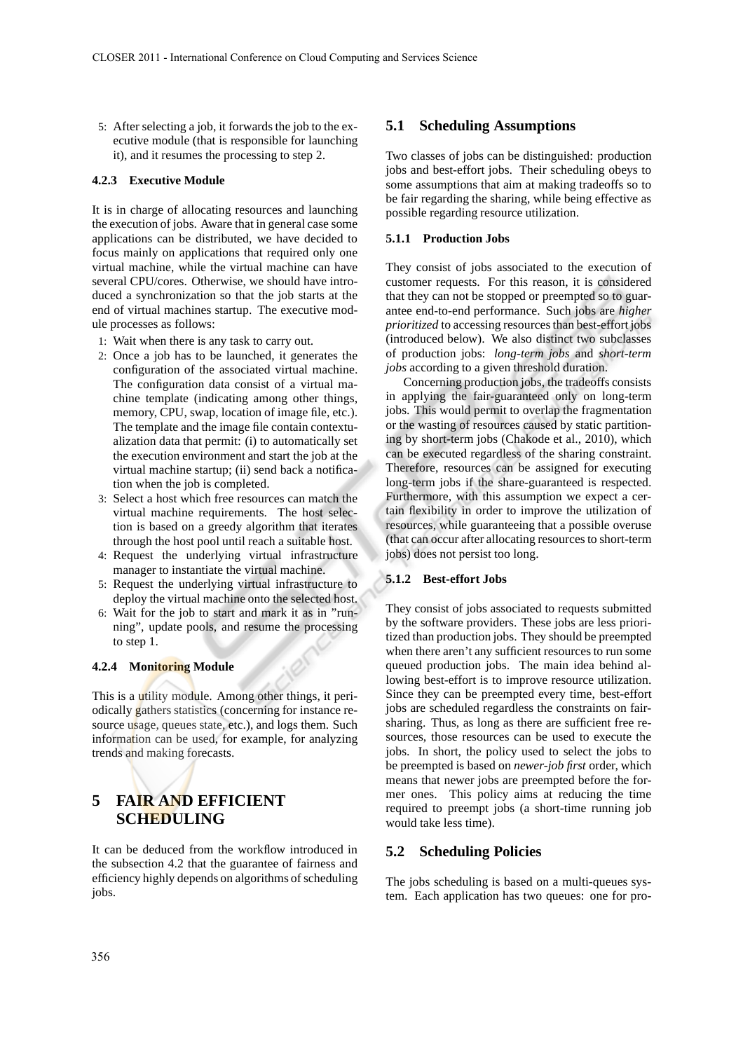5: After selecting a job, it forwards the job to the executive module (that is responsible for launching it), and it resumes the processing to step 2.

#### **4.2.3 Executive Module**

It is in charge of allocating resources and launching the execution of jobs. Aware that in general case some applications can be distributed, we have decided to focus mainly on applications that required only one virtual machine, while the virtual machine can have several CPU/cores. Otherwise, we should have introduced a synchronization so that the job starts at the end of virtual machines startup. The executive module processes as follows:

- 1: Wait when there is any task to carry out.
- 2: Once a job has to be launched, it generates the configuration of the associated virtual machine. The configuration data consist of a virtual machine template (indicating among other things, memory, CPU, swap, location of image file, etc.). The template and the image file contain contextualization data that permit: (i) to automatically set the execution environment and start the job at the virtual machine startup; (ii) send back a notification when the job is completed.
- 3: Select a host which free resources can match the virtual machine requirements. The host selection is based on a greedy algorithm that iterates through the host pool until reach a suitable host.
- 4: Request the underlying virtual infrastructure manager to instantiate the virtual machine.
- 5: Request the underlying virtual infrastructure to deploy the virtual machine onto the selected host.
- 6: Wait for the job to start and mark it as in "running", update pools, and resume the processing to step 1.

#### **4.2.4 Monitoring Module**

This is a utility module. Among other things, it periodically gathers statistics (concerning for instance resource usage, queues state, etc.), and logs them. Such information can be used, for example, for analyzing trends and making forecasts.

# **5 FAIR AND EFFICIENT SCHEDULING**

It can be deduced from the workflow introduced in the subsection 4.2 that the guarantee of fairness and efficiency highly depends on algorithms of scheduling jobs.

### **5.1 Scheduling Assumptions**

Two classes of jobs can be distinguished: production jobs and best-effort jobs. Their scheduling obeys to some assumptions that aim at making tradeoffs so to be fair regarding the sharing, while being effective as possible regarding resource utilization.

### **5.1.1 Production Jobs**

They consist of jobs associated to the execution of customer requests. For this reason, it is considered that they can not be stopped or preempted so to guarantee end-to-end performance. Such jobs are *higher prioritized* to accessing resources than best-effort jobs (introduced below). We also distinct two subclasses of production jobs: *long-term jobs* and *short-term jobs* according to a given threshold duration.

Concerning production jobs, the tradeoffs consists in applying the fair-guaranteed only on long-term jobs. This would permit to overlap the fragmentation or the wasting of resources caused by static partitioning by short-term jobs (Chakode et al., 2010), which can be executed regardless of the sharing constraint. Therefore, resources can be assigned for executing long-term jobs if the share-guaranteed is respected. Furthermore, with this assumption we expect a certain flexibility in order to improve the utilization of resources, while guaranteeing that a possible overuse (that can occur after allocating resources to short-term jobs) does not persist too long.

### **5.1.2 Best-effort Jobs**

They consist of jobs associated to requests submitted by the software providers. These jobs are less prioritized than production jobs. They should be preempted when there aren't any sufficient resources to run some queued production jobs. The main idea behind allowing best-effort is to improve resource utilization. Since they can be preempted every time, best-effort jobs are scheduled regardless the constraints on fairsharing. Thus, as long as there are sufficient free resources, those resources can be used to execute the jobs. In short, the policy used to select the jobs to be preempted is based on *newer-job first* order, which means that newer jobs are preempted before the former ones. This policy aims at reducing the time required to preempt jobs (a short-time running job would take less time).

### **5.2 Scheduling Policies**

The jobs scheduling is based on a multi-queues system. Each application has two queues: one for pro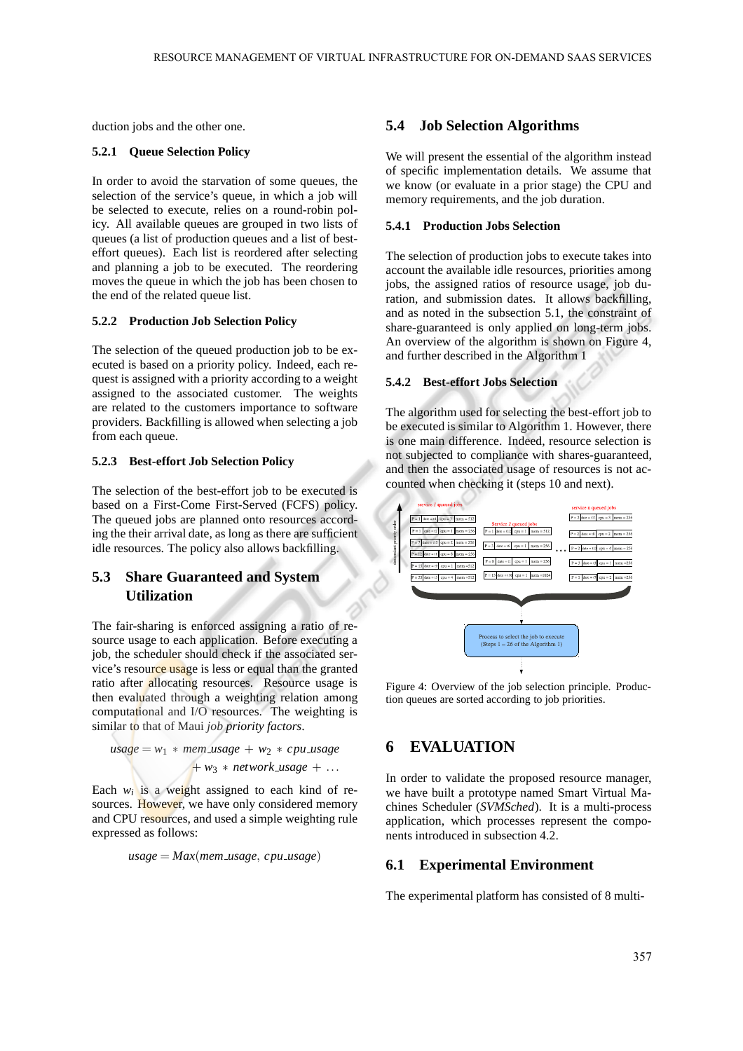duction jobs and the other one.

#### **5.2.1 Queue Selection Policy**

In order to avoid the starvation of some queues, the selection of the service's queue, in which a job will be selected to execute, relies on a round-robin policy. All available queues are grouped in two lists of queues (a list of production queues and a list of besteffort queues). Each list is reordered after selecting and planning a job to be executed. The reordering moves the queue in which the job has been chosen to the end of the related queue list.

#### **5.2.2 Production Job Selection Policy**

The selection of the queued production job to be executed is based on a priority policy. Indeed, each request is assigned with a priority according to a weight assigned to the associated customer. The weights are related to the customers importance to software providers. Backfilling is allowed when selecting a job from each queue.

#### **5.2.3 Best-effort Job Selection Policy**

The selection of the best-effort job to be executed is based on a First-Come First-Served (FCFS) policy. The queued jobs are planned onto resources according the their arrival date, as long as there are sufficient idle resources. The policy also allows backfilling.

## **5.3 Share Guaranteed and System Utilization**

The fair-sharing is enforced assigning a ratio of resource usage to each application. Before executing a job, the scheduler should check if the associated service's resource usage is less or equal than the granted ratio after allocating resources. Resource usage is then evaluated through a weighting relation among computational and I/O resources. The weighting is similar to that of Maui *job priority factors*.

$$
usage = w_1 * mem\_usage + w_2 * cpu\_usage + ...
$$
  
+  $w_3 * network\_usage + ...$ 

Each  $w_i$  is a weight assigned to each kind of resources. However, we have only considered memory and CPU resources, and used a simple weighting rule expressed as follows:

$$
usage = Max(mem\_usage, cpu\_usage)
$$

### **5.4 Job Selection Algorithms**

We will present the essential of the algorithm instead of specific implementation details. We assume that we know (or evaluate in a prior stage) the CPU and memory requirements, and the job duration.

#### **5.4.1 Production Jobs Selection**

The selection of production jobs to execute takes into account the available idle resources, priorities among jobs, the assigned ratios of resource usage, job duration, and submission dates. It allows backfilling, and as noted in the subsection 5.1, the constraint of share-guaranteed is only applied on long-term jobs. An overview of the algorithm is shown on Figure 4, and further described in the Algorithm 1

### **5.4.2 Best-effort Jobs Selection**

The algorithm used for selecting the best-effort job to be executed is similar to Algorithm 1. However, there is one main difference. Indeed, resource selection is not subjected to compliance with shares-guaranteed, and then the associated usage of resources is not accounted when checking it (steps 10 and next).



Figure 4: Overview of the job selection principle. Production queues are sorted according to job priorities.

## **6 EVALUATION**

In order to validate the proposed resource manager, we have built a prototype named Smart Virtual Machines Scheduler (*SVMSched*). It is a multi-process application, which processes represent the components introduced in subsection 4.2.

# **6.1 Experimental Environment**

The experimental platform has consisted of 8 multi-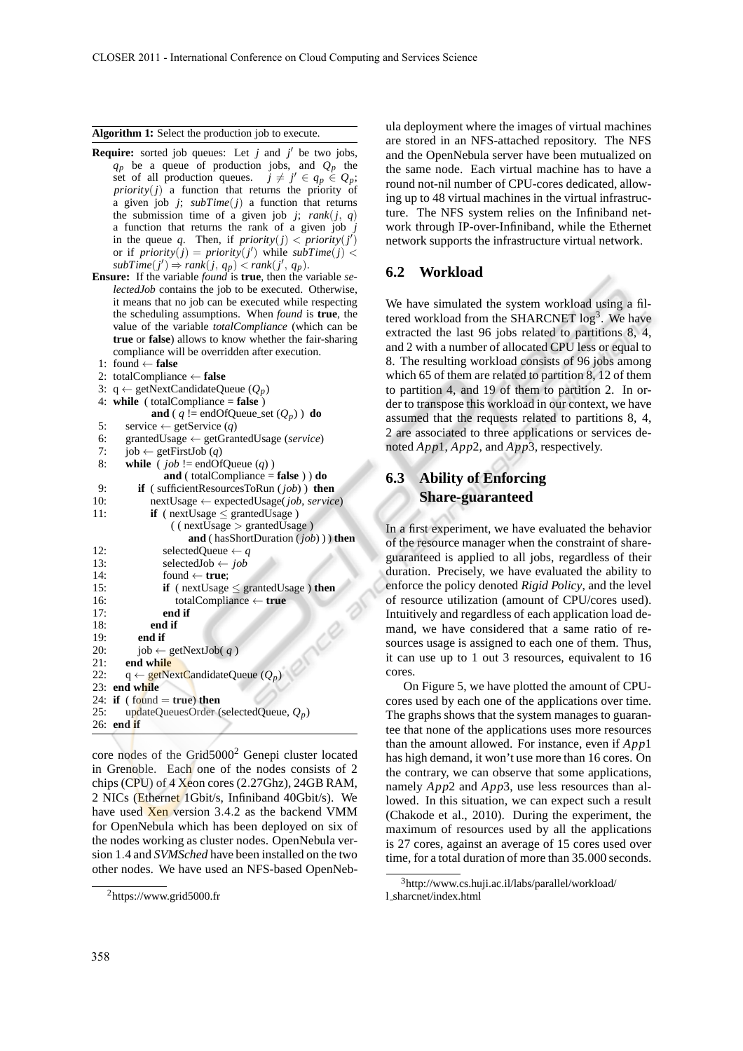#### **Algorithm 1:** Select the production job to execute.

- **Require:** sorted job queues: Let  $j$  and  $j'$  be two jobs,  $q_p$  be a queue of production jobs, and  $Q_p$  the set of all production queues.  $j \neq j' \in q_p \in Q_p$ ;  $priority(j)$  a function that returns the priority of a given job  $j$ ;  $subTime(j)$  a function that returns the submission time of a given job *j*;  $rank(j, q)$ a function that returns the rank of a given job *j* in the queue q. Then, if  $priority(j) < priority(j')$ or if  $\text{priority}(j) = \text{priority}(j')$  while  $\text{subTime}(j)$  <  $subTime(j') \Rightarrow rank(j, q_p) < rank(j', q_p).$
- **Ensure:** If the variable *found* is **true**, then the variable *selectedJob* contains the job to be executed. Otherwise, it means that no job can be executed while respecting the scheduling assumptions. When *found* is **true**, the value of the variable *totalCompliance* (which can be **true** or **false**) allows to know whether the fair-sharing compliance will be overridden after execution.
- 1: found ← **false**
- 2: totalCompliance ← **false**
- 3:  $q \leftarrow getNextC and idateQueue (Q_p)$
- 4: **while** ( totalCompliance = **false** )
- **and** ( $q$  != endOfQueue\_set  $(Q_p)$ ) **do**

| 5:  | service $\leftarrow$ getService ( <i>q</i> )          |
|-----|-------------------------------------------------------|
| 6:  | grantedUsage ← getGrantedUsage (service)              |
| 7:  | job $\leftarrow$ getFirstJob ( <i>q</i> )             |
| 8:  | while ( $job$ != endOfQueue ( <i>q</i> ))             |
|     | and (totalCompliance = false) $\mathbf{d}$ do         |
| 9:  | <b>if</b> (sufficient Resources To Run $(job)$ ) then |
| 10: | $nextUsage \leftarrow expectedUsage(job, service)$    |
| 11: | <b>if</b> ( $nextUsage <$ grantedUsage)               |
|     | $($ ( $nextUsage$ ) grantedUsage)                     |
|     | <b>and</b> (has Short Duration $(job)$ ) then         |
| 12: | selectedQueue $\leftarrow q$                          |
| 13: | selectedJob $\leftarrow$ job                          |
| 14: | found $\leftarrow$ true;                              |
| 15: | if ( $nextUsage \leq grantedUsage$ ) then             |
| 16: | totalCompliance $\leftarrow$ true                     |
| 17: | end if                                                |
| 18: | end if                                                |
| 19: | end if                                                |
| 20: | $job \leftarrow getNextJob( q )$                      |
| 21: | end while                                             |
| 22: | $q \leftarrow$ getNextCandidateQueue $(Q_p)$          |
|     | 23: end while                                         |
|     | 24: if (found $=$ true) then                          |
| 25: | updateQueuesOrder (selectedQueue, $Q_p$ )             |
|     | $26:$ end if                                          |
|     |                                                       |

core nodes of the Grid5000<sup>2</sup> Genepi cluster located in Grenoble. Each one of the nodes consists of 2 chips (CPU) of 4 Xeon cores (2.27Ghz), 24GB RAM, 2 NICs (Ethernet 1Gbit/s, Infiniband 40Gbit/s). We have used Xen version 3.4.2 as the backend VMM for OpenNebula which has been deployed on six of the nodes working as cluster nodes. OpenNebula version 1.4 and *SVMSched* have been installed on the two other nodes. We have used an NFS-based OpenNebula deployment where the images of virtual machines are stored in an NFS-attached repository. The NFS and the OpenNebula server have been mutualized on the same node. Each virtual machine has to have a round not-nil number of CPU-cores dedicated, allowing up to 48 virtual machines in the virtual infrastructure. The NFS system relies on the Infiniband network through IP-over-Infiniband, while the Ethernet network supports the infrastructure virtual network.

### **6.2 Workload**

We have simulated the system workload using a filtered workload from the SHARCNET  $\log^3$ . We have extracted the last 96 jobs related to partitions 8, 4, and 2 with a number of allocated CPU less or equal to 8. The resulting workload consists of 96 jobs among which 65 of them are related to partition 8, 12 of them to partition 4, and 19 of them to partition 2. In order to transpose this workload in our context, we have assumed that the requests related to partitions 8, 4, 2 are associated to three applications or services denoted *App*1, *App*2, and *App*3, respectively.

## **6.3 Ability of Enforcing Share-guaranteed**

In a first experiment, we have evaluated the behavior of the resource manager when the constraint of shareguaranteed is applied to all jobs, regardless of their duration. Precisely, we have evaluated the ability to enforce the policy denoted *Rigid Policy*, and the level of resource utilization (amount of CPU/cores used). Intuitively and regardless of each application load demand, we have considered that a same ratio of resources usage is assigned to each one of them. Thus, it can use up to 1 out 3 resources, equivalent to 16 cores.

On Figure 5, we have plotted the amount of CPUcores used by each one of the applications over time. The graphs shows that the system manages to guarantee that none of the applications uses more resources than the amount allowed. For instance, even if *App*1 has high demand, it won't use more than 16 cores. On the contrary, we can observe that some applications, namely *App*2 and *App*3, use less resources than allowed. In this situation, we can expect such a result (Chakode et al., 2010). During the experiment, the maximum of resources used by all the applications is 27 cores, against an average of 15 cores used over time, for a total duration of more than 35.000 seconds.

 ${}^{2}$ https://www.grid5000.fr

<sup>3</sup>http://www.cs.huji.ac.il/labs/parallel/workload/ l sharcnet/index.html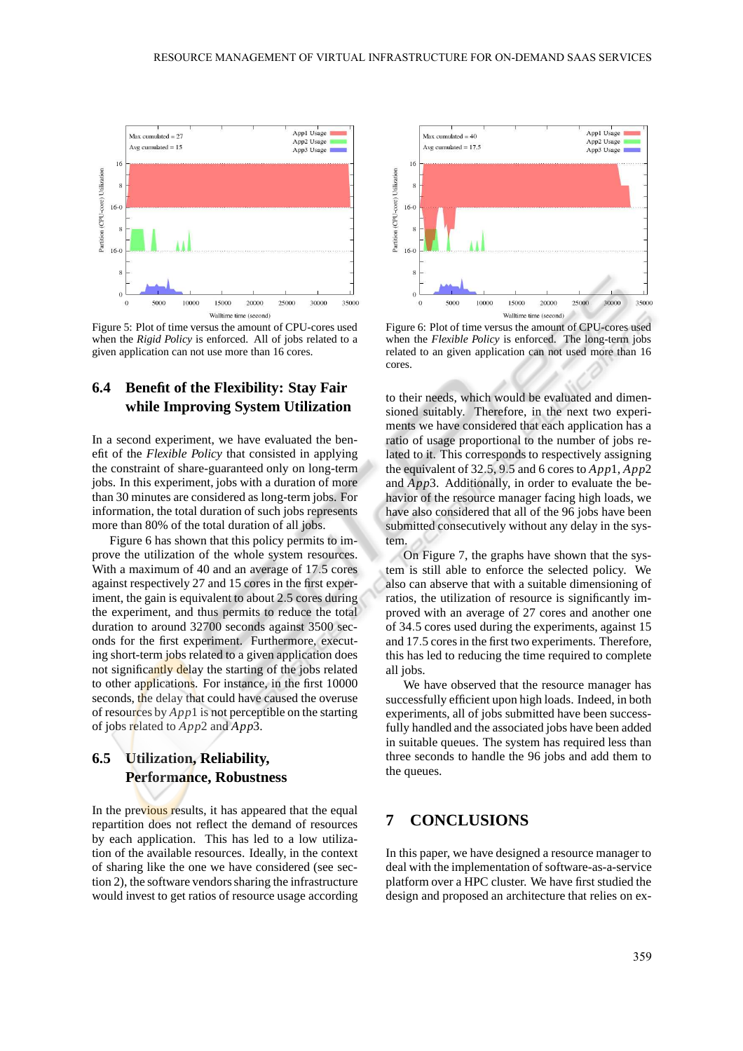

Figure 5: Plot of time versus the amount of CPU-cores used when the *Rigid Policy* is enforced. All of jobs related to a given application can not use more than 16 cores.

## **6.4 Benefit of the Flexibility: Stay Fair while Improving System Utilization**

In a second experiment, we have evaluated the benefit of the *Flexible Policy* that consisted in applying the constraint of share-guaranteed only on long-term jobs. In this experiment, jobs with a duration of more than 30 minutes are considered as long-term jobs. For information, the total duration of such jobs represents more than 80% of the total duration of all jobs.

Figure 6 has shown that this policy permits to improve the utilization of the whole system resources. With a maximum of 40 and an average of 17.5 cores against respectively 27 and 15 cores in the first experiment, the gain is equivalent to about 2.5 cores during the experiment, and thus permits to reduce the total duration to around 32700 seconds against 3500 seconds for the first experiment. Furthermore, executing short-term jobs related to a given application does not significantly delay the starting of the jobs related to other applications. For instance, in the first 10000 seconds, the delay that could have caused the overuse of resources by *App*1 is not perceptible on the starting of jobs related to *App*2 and *App*3.

# **6.5 Utilization, Reliability, Performance, Robustness**

In the previous results, it has appeared that the equal repartition does not reflect the demand of resources by each application. This has led to a low utilization of the available resources. Ideally, in the context of sharing like the one we have considered (see section 2), the software vendors sharing the infrastructure would invest to get ratios of resource usage according



Figure 6: Plot of time versus the amount of CPU-cores used when the *Flexible Policy* is enforced. The long-term jobs related to an given application can not used more than 16 cores.

to their needs, which would be evaluated and dimensioned suitably. Therefore, in the next two experiments we have considered that each application has a ratio of usage proportional to the number of jobs related to it. This corresponds to respectively assigning the equivalent of 32.5, 9.5 and 6 cores to *App*1, *App*2 and *App*3. Additionally, in order to evaluate the behavior of the resource manager facing high loads, we have also considered that all of the 96 jobs have been submitted consecutively without any delay in the system.

On Figure 7, the graphs have shown that the system is still able to enforce the selected policy. We also can abserve that with a suitable dimensioning of ratios, the utilization of resource is significantly improved with an average of 27 cores and another one of 34.5 cores used during the experiments, against 15 and 17.5 cores in the first two experiments. Therefore, this has led to reducing the time required to complete all jobs.

We have observed that the resource manager has successfully efficient upon high loads. Indeed, in both experiments, all of jobs submitted have been successfully handled and the associated jobs have been added in suitable queues. The system has required less than three seconds to handle the 96 jobs and add them to the queues.

# **7 CONCLUSIONS**

In this paper, we have designed a resource manager to deal with the implementation of software-as-a-service platform over a HPC cluster. We have first studied the design and proposed an architecture that relies on ex-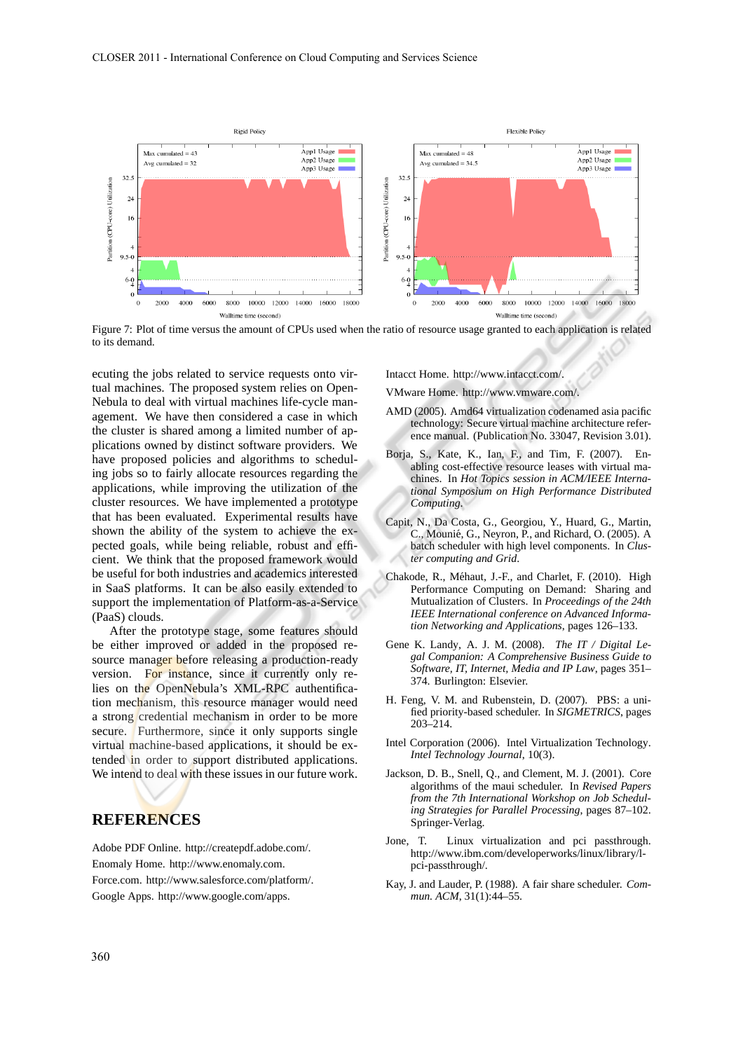

Figure 7: Plot of time versus the amount of CPUs used when the ratio of resource usage granted to each application is related to its demand.

ecuting the jobs related to service requests onto virtual machines. The proposed system relies on Open-Nebula to deal with virtual machines life-cycle management. We have then considered a case in which the cluster is shared among a limited number of applications owned by distinct software providers. We have proposed policies and algorithms to scheduling jobs so to fairly allocate resources regarding the applications, while improving the utilization of the cluster resources. We have implemented a prototype that has been evaluated. Experimental results have shown the ability of the system to achieve the expected goals, while being reliable, robust and efficient. We think that the proposed framework would be useful for both industries and academics interested in SaaS platforms. It can be also easily extended to support the implementation of Platform-as-a-Service (PaaS) clouds.

After the prototype stage, some features should be either improved or added in the proposed resource manager before releasing a production-ready version. For instance, since it currently only relies on the OpenNebula's XML-RPC authentification mechanism, this resource manager would need a strong credential mechanism in order to be more secure. Furthermore, since it only supports single virtual machine-based applications, it should be extended in order to support distributed applications. We intend to deal with these issues in our future work.

## **REFERENCES**

Adobe PDF Online. http://createpdf.adobe.com/. Enomaly Home. http://www.enomaly.com. Force.com. http://www.salesforce.com/platform/. Google Apps. http://www.google.com/apps.

Intacct Home. http://www.intacct.com/.

VMware Home. http://www.vmware.com/.

- AMD (2005). Amd64 virtualization codenamed asia pacific technology: Secure virtual machine architecture reference manual. (Publication No. 33047, Revision 3.01).
- Borja, S., Kate, K., Ian, F., and Tim, F. (2007). Enabling cost-effective resource leases with virtual machines. In *Hot Topics session in ACM/IEEE International Symposium on High Performance Distributed Computing*.
- Capit, N., Da Costa, G., Georgiou, Y., Huard, G., Martin, C., Mounié, G., Neyron, P., and Richard, O. (2005). A batch scheduler with high level components. In *Cluster computing and Grid*.
- Chakode, R., Méhaut, J.-F., and Charlet, F. (2010). High Performance Computing on Demand: Sharing and Mutualization of Clusters. In *Proceedings of the 24th IEEE International conference on Advanced Information Networking and Applications*, pages 126–133.
- Gene K. Landy, A. J. M. (2008). *The IT / Digital Legal Companion: A Comprehensive Business Guide to Software, IT, Internet, Media and IP Law*, pages 351– 374. Burlington: Elsevier.
- H. Feng, V. M. and Rubenstein, D. (2007). PBS: a unified priority-based scheduler. In *SIGMETRICS*, pages 203–214.
- Intel Corporation (2006). Intel Virtualization Technology. *Intel Technology Journal*, 10(3).
- Jackson, D. B., Snell, Q., and Clement, M. J. (2001). Core algorithms of the maui scheduler. In *Revised Papers from the 7th International Workshop on Job Scheduling Strategies for Parallel Processing*, pages 87–102. Springer-Verlag.
- Jone, T. Linux virtualization and pci passthrough. http://www.ibm.com/developerworks/linux/library/lpci-passthrough/.
- Kay, J. and Lauder, P. (1988). A fair share scheduler. *Commun. ACM*, 31(1):44–55.